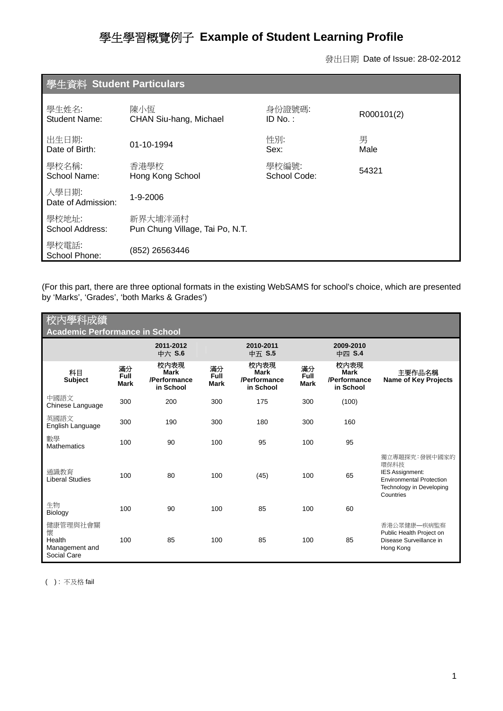# 學生學習概覽例子 **Example of Student Learning Profile**

發出日期 Date of Issue: 28-02-2012

| 學生資料 Student Particulars    |                                            |                       |            |  |  |  |
|-----------------------------|--------------------------------------------|-----------------------|------------|--|--|--|
| 學生姓名<br>Student Name:       | 陳小恆<br>CHAN Siu-hang, Michael              | 身份證號碼:<br>ID No.:     | R000101(2) |  |  |  |
| 出生日期:<br>Date of Birth:     | 01-10-1994                                 | 性別:<br>Sex:           | 男<br>Male  |  |  |  |
| 學校名稱:<br>School Name:       | 香港學校<br>Hong Kong School                   | 學校編號:<br>School Code: | 54321      |  |  |  |
| 入學日期:<br>Date of Admission: | 1-9-2006                                   |                       |            |  |  |  |
| 學校地址:<br>School Address:    | 新界大埔泮涌村<br>Pun Chung Village, Tai Po, N.T. |                       |            |  |  |  |
| 學校電話:<br>School Phone:      | (852) 26563446                             |                       |            |  |  |  |

(For this part, there are three optional formats in the existing WebSAMS for school's choice, which are presented by 'Marks', 'Grades', 'both Marks & Grades')

| 校内學科成績<br><b>Academic Performance in School</b>          |                           |                                           |                           |                                                  |                           |                                                  |                                                                                                                                    |
|----------------------------------------------------------|---------------------------|-------------------------------------------|---------------------------|--------------------------------------------------|---------------------------|--------------------------------------------------|------------------------------------------------------------------------------------------------------------------------------------|
|                                                          |                           | 2011-2012<br>中六 S.6                       |                           | 2010-2011<br>中五 S.5                              |                           | 2009-2010<br>中四 S.4                              |                                                                                                                                    |
| 科目<br><b>Subject</b>                                     | 滿分<br>Full<br><b>Mark</b> | 校内表現<br>Mark<br>/Performance<br>in School | 滿分<br>Full<br><b>Mark</b> | 校内表現<br><b>Mark</b><br>/Performance<br>in School | 滿分<br>Full<br><b>Mark</b> | 校内表現<br><b>Mark</b><br>/Performance<br>in School | 主要作品名稱<br><b>Name of Key Projects</b>                                                                                              |
| 中國語文<br>Chinese Language                                 | 300                       | 200                                       | 300                       | 175                                              | 300                       | (100)                                            |                                                                                                                                    |
| 英國語文<br>English Language                                 | 300                       | 190                                       | 300                       | 180                                              | 300                       | 160                                              |                                                                                                                                    |
| 數學<br><b>Mathematics</b>                                 | 100                       | 90                                        | 100                       | 95                                               | 100                       | 95                                               |                                                                                                                                    |
| 诵識教育<br><b>Liberal Studies</b>                           | 100                       | 80                                        | 100                       | (45)                                             | 100                       | 65                                               | 獨立專題探究:發展中國家的<br>環保科技<br><b>IES Assignment:</b><br><b>Environmental Protection</b><br><b>Technology in Developing</b><br>Countries |
| 生物<br>Biology                                            | 100                       | 90                                        | 100                       | 85                                               | 100                       | 60                                               |                                                                                                                                    |
| 健康管理與社會關<br>懷<br>Health<br>Management and<br>Social Care | 100                       | 85                                        | 100                       | 85                                               | 100                       | 85                                               | 香港公眾健康—疾病監察<br>Public Health Project on<br>Disease Surveillance in<br>Hong Kong                                                    |

( ): 不及格 fail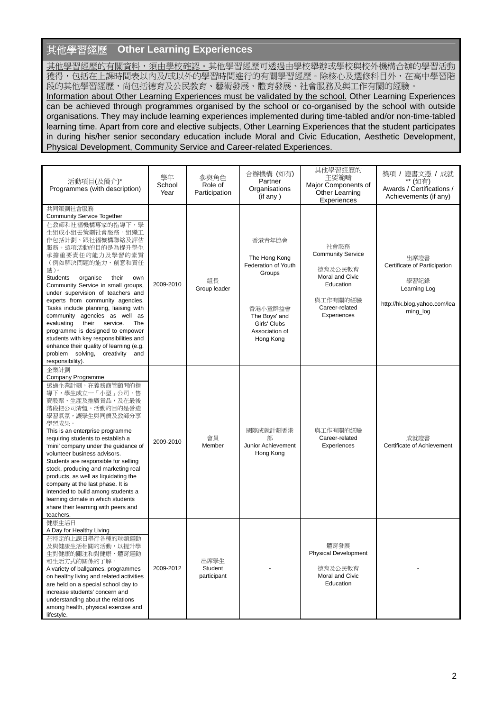# 其他學習經歷 **Other Learning Experiences**

其他學習經歷的有關資料,須由學校確認。其他學習經歷可透過由學校舉辦或學校與校外機構合辦的學習活動 獲得,包括在上課時間表以內及/或以外的學習時間進行的有關學習經歷。除核心及選修科目外,在高中學習階 段的其他學習經歷,尚包括德育及公民教育、藝術發展、體育發展、社會服務及與工作有關的經驗。 Information about Other Learning Experiences must be validated by the school. Other Learning Experiences can be achieved through programmes organised by the school or co-organised by the school with outside organisations. They may include learning experiences implemented during time-tabled and/or non-time-tabled learning time. Apart from core and elective subjects, Other Learning Experiences that the student participates in during his/her senior secondary education include Moral and Civic Education, Aesthetic Development, Physical Development, Community Service and Career-related Experiences.

| 活動項目(及簡介)*<br>Programmes (with description)                                                                                                                                                                                                                                                                                                                                                                                                                                                                                                                                                                                                   | 學年<br>School<br>Year | 參與角色<br>Role of<br>Participation | 合辦機構 (如有)<br>Partner<br>Organisations<br>(if any)                                                                                   | 其他學習經歷的<br>主要範疇<br>Major Components of<br>Other Learning<br>Experiences                                                  | 獎項 / 證書文憑 / 成就<br>** (如有)<br>Awards / Certifications /<br>Achievements (if any)                           |
|-----------------------------------------------------------------------------------------------------------------------------------------------------------------------------------------------------------------------------------------------------------------------------------------------------------------------------------------------------------------------------------------------------------------------------------------------------------------------------------------------------------------------------------------------------------------------------------------------------------------------------------------------|----------------------|----------------------------------|-------------------------------------------------------------------------------------------------------------------------------------|--------------------------------------------------------------------------------------------------------------------------|-----------------------------------------------------------------------------------------------------------|
| 共同策劃社會服務<br><b>Community Service Together</b><br>在教師和社福機構專家的指導下,學<br>生組成小組去策劃社會服務。組織工<br>作包括計劃、跟社福機構聯絡及評估<br>服務。這項活動的目的是為提升學生<br>承擔重要責任的能力及學習的素質<br>(例如解決問題的能力、創意和責任<br>感)。<br><b>Students</b><br>organise<br>their<br>own<br>Community Service in small groups,<br>under supervision of teachers and<br>experts from community agencies.<br>Tasks include planning, liaising with<br>community agencies as well as<br>evaluating<br>their<br>service.<br>The<br>programme is designed to empower<br>students with key responsibilities and<br>enhance their quality of learning (e.g.<br>problem solving, creativity and<br>responsibility). | 2009-2010            | 組長<br>Group leader               | 香港青年協會<br>The Hong Kong<br>Federation of Youth<br>Groups<br>香港小童群益會<br>The Boys' and<br>Girls' Clubs<br>Association of<br>Hong Kong | 社會服務<br><b>Community Service</b><br>德育及公民教育<br>Moral and Civic<br>Education<br>與工作有關的經驗<br>Career-related<br>Experiences | 出席證書<br>Certificate of Participation<br>學習紀錄<br>Learning Log<br>http://hk.blog.yahoo.com/lea<br>rning_log |
| 企業計劃<br>Company Programme<br>透過企業計劃,在義務商管顧問的指<br>導下,學生成立一「小型」公司,售<br>賣股票、生產及推廣貨品,及在最後<br>階段把公司清盤。活動的目的是營造<br>學習氣氛,讓學生與同儕及教師分享<br>學習成果。<br>This is an enterprise programme<br>requiring students to establish a<br>'mini' company under the guidance of<br>volunteer business advisors.<br>Students are responsible for selling<br>stock, producing and marketing real<br>products, as well as liquidating the<br>company at the last phase. It is<br>intended to build among students a<br>learning climate in which students<br>share their learning with peers and<br>teachers.                                                             | 2009-2010            | 會員<br>Member                     | 國際成就計劃香港<br>部<br>Junior Achievement<br>Hong Kong                                                                                    | 與工作有關的經驗<br>Career-related<br>Experiences                                                                                | 成就證書<br>Certificate of Achievement                                                                        |
| 健康生活日<br>A Day for Healthy Living<br>在特定的上課日舉行各種的球類運動<br>及與健康生活相關的活動,以提升學<br>生對健康的關注和對健康、體育運動<br>和生活方式的關係的了解。<br>A variety of ballgames, programmes<br>on healthy living and related activities<br>are held on a special school day to<br>increase students' concern and<br>understanding about the relations<br>among health, physical exercise and<br>lifestyle.                                                                                                                                                                                                                                                                            | 2009-2012            | 出席學生<br>Student<br>participant   |                                                                                                                                     | 體育發展<br><b>Physical Development</b><br>德育及公民教育<br>Moral and Civic<br>Education                                           |                                                                                                           |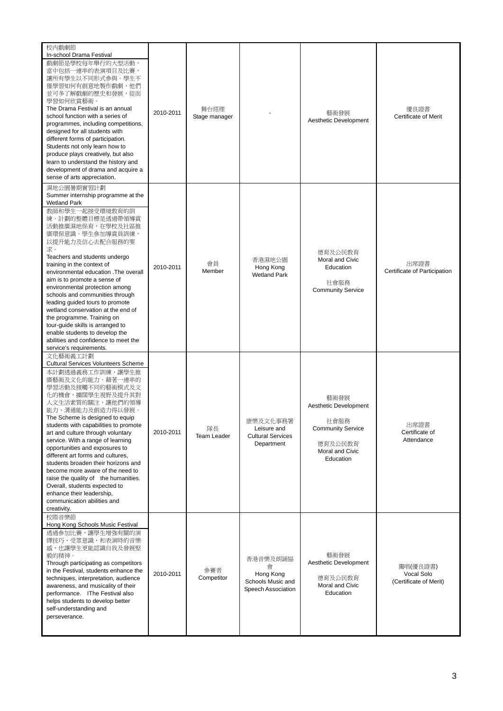| 校內戲劇節<br>In-school Drama Festival<br>戲劇節是學校每年舉行的大型活動,<br>當中包括一連串的表演項目及比賽,<br>讓所有學生以不同形式參與。學生不<br>僅學習如何有創意地製作戲劇,他們<br>並可多了解戲劇的歷史和發展,從而<br>學習如何欣賞藝術。<br>The Drama Festival is an annual<br>school function with a series of<br>programmes, including competitions,<br>designed for all students with<br>different forms of participation.<br>Students not only learn how to<br>produce plays creatively, but also<br>learn to understand the history and<br>development of drama and acquire a<br>sense of arts appreciation.                                                                                                                | 2010-2011 | 舞台經理<br>Stage manager    |                                                                       | 藝術發展<br>Aesthetic Development                                                                                | 優良證書<br>Certificate of Merit                     |
|--------------------------------------------------------------------------------------------------------------------------------------------------------------------------------------------------------------------------------------------------------------------------------------------------------------------------------------------------------------------------------------------------------------------------------------------------------------------------------------------------------------------------------------------------------------------------------------------------------------------------------------------|-----------|--------------------------|-----------------------------------------------------------------------|--------------------------------------------------------------------------------------------------------------|--------------------------------------------------|
| 濕地公園暑期實習計劃<br>Summer internship programme at the<br>Wetland Park<br>教師和學生一起接受環境教育的訓<br>練。計劃的整體目標是透過帶領導賞<br>活動推廣濕地保育,在學校及社區推<br>廣環保意識。學生參加導賞員訓練,<br>以提升能力及信心去配合服務的要<br>求。<br>Teachers and students undergo<br>training in the context of<br>environmental education .The overall<br>aim is to promote a sense of<br>environmental protection among<br>schools and communities through<br>leading guided tours to promote<br>wetland conservation at the end of<br>the programme. Training on<br>tour-guide skills is arranged to<br>enable students to develop the<br>abilities and confidence to meet the<br>service's requirements.       | 2010-2011 | 會員<br>Member             | 香港濕地公園<br>Hong Kong<br><b>Wetland Park</b>                            | 德育及公民教育<br>Moral and Civic<br>Education<br>社會服務<br><b>Community Service</b>                                  | 出席證書<br>Certificate of Participation             |
| 文化藝術義工計劃<br><b>Cultural Services Volunteers Scheme</b><br>本計劃透過義務工作訓練,讓學生推<br>廣藝術及文化的能力。藉著一連串的<br>學習活動及接觸不同的藝術模式及文<br>化的機會,擴闊學生視野及提升其對<br>人文生活素質的關注,讓他們的領導<br>能力、溝通能力及創造力得以發展。<br>The Scheme is designed to equip<br>students with capabilities to promote<br>art and culture through voluntary<br>service. With a range of learning<br>opportunities and exposures to<br>different art forms and cultures,<br>students broaden their horizons and<br>become more aware of the need to<br>raise the quality of the humanities.<br>Overall, students expected to<br>enhance their leadership,<br>communication abilities and<br>creativity. | 2010-2011 | 隊長<br><b>Team Leader</b> | 康樂及文化事務署<br>Leisure and<br><b>Cultural Services</b><br>Department     | 藝術發展<br>Aesthetic Development<br>社會服務<br><b>Community Service</b><br>德育及公民教育<br>Moral and Civic<br>Education | 出席證書<br>Certificate of<br>Attendance             |
| 校際音樂節<br>Hong Kong Schools Music Festival<br>透過參加比賽,讓學生增強有關的演<br>繹技巧、受眾意識,和表演時的音樂<br>感,也讓學生更能認識自我及發展堅<br>毅的精神。<br>Through participating as competitors<br>in the Festival, students enhance the<br>techniques, interpretation, audience<br>awareness, and musicality of their<br>performance. IThe Festival also<br>helps students to develop better<br>self-understanding and<br>perseverance.                                                                                                                                                                                                                                            | 2010-2011 | 參賽者<br>Competitor        | 香港音樂及朗誦協<br>會<br>Hong Kong<br>Schools Music and<br>Speech Association | 藝術發展<br>Aesthetic Development<br>德育及公民教育<br>Moral and Civic<br>Education                                     | 獨唱(優良證書)<br>Vocal Solo<br>(Certificate of Merit) |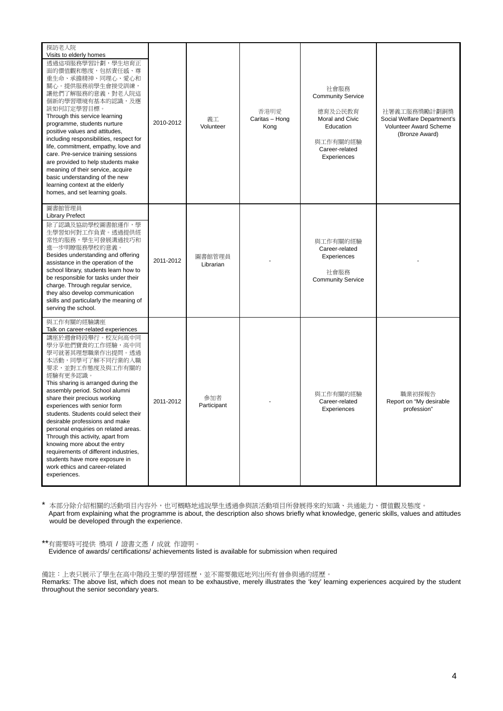| 探訪老人院<br>Visits to elderly homes<br>透過這項服務學習計劃,學生培育正<br>面的價值觀和態度,包括責任感、尊<br>重生命、承擔精神、同理心、愛心和<br>關心。提供服務前學生會接受訓練,<br>讓他們了解服務的意義,對老人院這<br>個新的學習環境有基本的認識,及應<br>該如何訂定學習目標。<br>Through this service learning<br>programme, students nurture<br>positive values and attitudes,<br>including responsibilities, respect for<br>life, commitment, empathy, love and<br>care. Pre-service training sessions<br>are provided to help students make<br>meaning of their service, acquire<br>basic understanding of the new<br>learning context at the elderly<br>homes, and set learning goals.                                            | 2010-2012 | 義工<br>Volunteer     | 香港明愛<br>Caritas - Hong<br>Kong | 社會服務<br><b>Community Service</b><br>德育及公民教育<br>Moral and Civic<br>Education<br>與工作有關的經驗<br>Career-related<br>Experiences | 社署義工服務獎勵計劃銅獎<br>Social Welfare Department's<br>Volunteer Award Scheme<br>(Bronze Award) |
|--------------------------------------------------------------------------------------------------------------------------------------------------------------------------------------------------------------------------------------------------------------------------------------------------------------------------------------------------------------------------------------------------------------------------------------------------------------------------------------------------------------------------------------------------------------------------------------------------------------------------------|-----------|---------------------|--------------------------------|--------------------------------------------------------------------------------------------------------------------------|-----------------------------------------------------------------------------------------|
| 圖書館管理員<br><b>Library Prefect</b><br>除了認識及協助學校圖書館運作,學<br>生學習如何對工作負責。透過提供經<br>常性的服務,學生可發展溝通技巧和<br>進一步明瞭服務學校的意義。<br>Besides understanding and offering<br>assistance in the operation of the<br>school library, students learn how to<br>be responsible for tasks under their<br>charge. Through regular service,<br>they also develop communication<br>skills and particularly the meaning of<br>serving the school.                                                                                                                                                                                                             | 2011-2012 | 圖書館管理員<br>Librarian |                                | 與工作有關的經驗<br>Career-related<br>Experiences<br>社會服務<br><b>Community Service</b>                                            |                                                                                         |
| 與工作有關的經驗講座<br>Talk on career-related experiences<br>講座於週會時段舉行。校友向高中同<br>學分享他們寶貴的工作經驗,高中同<br>學可就著其理想職業作出提問。透過<br>本活動,同學可了解不同行業的入職<br>要求,並對工作態度及與工作有關的<br>經驗有更多認識。<br>This sharing is arranged during the<br>assembly period. School alumni<br>share their precious working<br>experiences with senior form<br>students. Students could select their<br>desirable professions and make<br>personal enquiries on related areas.<br>Through this activity, apart from<br>knowing more about the entry<br>requirements of different industries,<br>students have more exposure in<br>work ethics and career-related<br>experiences. | 2011-2012 | 參加者<br>Participant  |                                | 與工作有關的經驗<br>Career-related<br>Experiences                                                                                | 職業初探報告<br>Report on "My desirable<br>profession"                                        |

\* 本部分除介紹相關的活動項目內容外,也可概略地述說學生透過參與該活動項目所發展得來的知識、共通能力、價值觀及態度。 Apart from explaining what the programme is about, the description also shows briefly what knowledge, generic skills, values and attitudes would be developed through the experience.

\*\*有需要時可提供 獎項 / 證書文憑 / 成就 作證明。

Evidence of awards/ certifications/ achievements listed is available for submission when required

備註:上表只展示了學生在高中階段主要的學習經歷,並不需要徹底地列出所有曾參與過的經歷。 Remarks: The above list, which does not mean to be exhaustive, merely illustrates the 'key' learning experiences acquired by the student throughout the senior secondary years.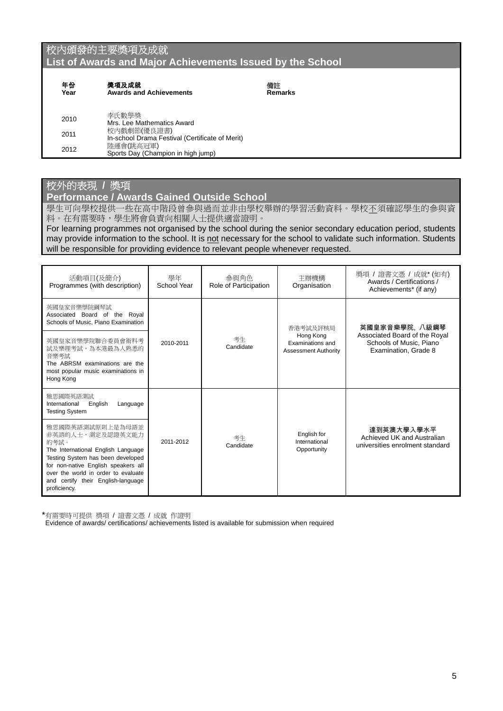## 校內頒發的主要獎項及成就 **List of Awards and Major Achievements Issued by the School**

| 年份<br>Year | 獎項及成就<br><b>Awards and Achievements</b>                        |
|------------|----------------------------------------------------------------|
| 2010       | 李氏數學獎<br>Mrs. Lee Mathematics Award                            |
| 2011       | 校內戲劇節(優良證書)<br>In-school Drama Festival (Certificate of Merit) |
| 2012       | 陸運會(跳高冠軍)<br>Sports Day (Champion in high jump)                |

### 校外的表現 **/** 獎項

**Performance / Awards Gained Outside School** 

學生可向學校提供一些在高中階段曾參與過而並非由學校舉辦的學習活動資料。學校不須確認學生的參與資 料。在有需要時,學生將會負責向相關人士提供適當證明。

備註 **Remarks** 

For learning programmes not organised by the school during the senior secondary education period, students may provide information to the school. It is not necessary for the school to validate such information. Students will be responsible for providing evidence to relevant people whenever requested.

| 活動項目(及簡介)<br>Programmes (with description)                                                                                                                                                                                                                  | 學年<br>School Year | 參與角色<br>Role of Participation | 主辦機構<br>Organisation                                         | 獎項 / 證書文憑 / 成就* (如有)<br>Awards / Certifications /<br>Achievements* (if any)      |
|-------------------------------------------------------------------------------------------------------------------------------------------------------------------------------------------------------------------------------------------------------------|-------------------|-------------------------------|--------------------------------------------------------------|----------------------------------------------------------------------------------|
| 英國皇家音樂學院鋼琴試<br>Associated Board of the Royal<br>Schools of Music, Piano Examination                                                                                                                                                                         |                   |                               | 香港考試及評核局                                                     | 英國皇家音樂學院, 八級鋼琴                                                                   |
| 英國皇家音樂學院聯合委員會術科考<br>試及樂理考試,為本港最為人熟悉的<br>音樂考試<br>The ABRSM examinations are the<br>most popular music examinations in<br>Hong Kong                                                                                                                           | 2010-2011         | 考生<br>Candidate               | Hong Kong<br>Examinations and<br><b>Assessment Authority</b> | Associated Board of the Royal<br>Schools of Music, Piano<br>Examination, Grade 8 |
| 雅思國際英語測試<br>International<br>English<br>Language<br><b>Testing System</b>                                                                                                                                                                                   |                   |                               |                                                              |                                                                                  |
| 雅思國際英語測試原則上是為母語並<br>非英語的人士,測定及認證英文能力<br>的考試。<br>The International English Language<br>Testing System has been developed<br>for non-native English speakers all<br>over the world in order to evaluate<br>and certify their English-language<br>proficiency. | 2011-2012         | 考生<br>Candidate               | English for<br>International<br>Opportunity                  | 達到英澳大學入學水平<br>Achieved UK and Australian<br>universities enrolment standard      |

\*有需要時可提供 獎項 / 證書文憑 / 成就 作證明

Evidence of awards/ certifications/ achievements listed is available for submission when required